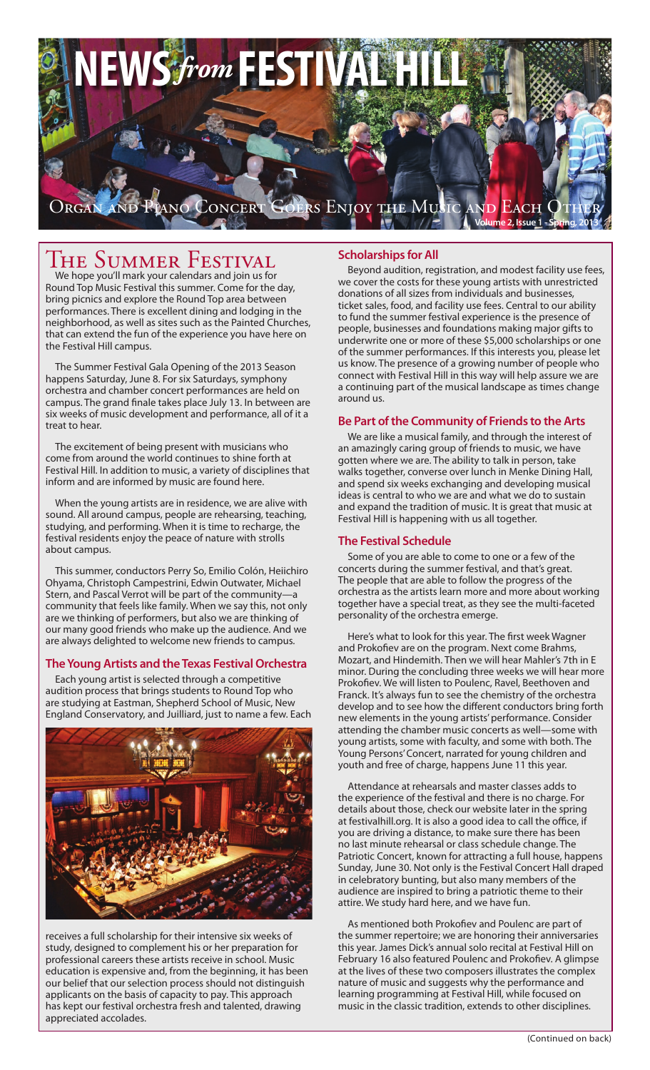

# **THE SUMMER FESTIVAL**

We hope you'll mark your calendars and join us for Round Top Music Festival this summer. Come for the day, bring picnics and explore the Round Top area between performances. There is excellent dining and lodging in the neighborhood, as well as sites such as the Painted Churches, that can extend the fun of the experience you have here on the Festival Hill campus.

The Summer Festival Gala Opening of the 2013 Season happens Saturday, June 8. For six Saturdays, symphony orchestra and chamber concert performances are held on campus. The grand finale takes place July 13. In between are six weeks of music development and performance, all of it a treat to hear.

The excitement of being present with musicians who come from around the world continues to shine forth at Festival Hill. In addition to music, a variety of disciplines that inform and are informed by music are found here.

When the young artists are in residence, we are alive with sound. All around campus, people are rehearsing, teaching, studying, and performing. When it is time to recharge, the festival residents enjoy the peace of nature with strolls about campus.

This summer, conductors Perry So, Emilio Colón, Heiichiro Ohyama, Christoph Campestrini, Edwin Outwater, Michael Stern, and Pascal Verrot will be part of the communitycommunity that feels like family. When we say this, not only are we thinking of performers, but also we are thinking of our many good friends who make up the audience. And we are always delighted to welcome new friends to campus.

## **The Young Artists and the Texas Festival Orchestra**

Each young artist is selected through a competitive audition process that brings students to Round Top who are studying at Eastman, Shepherd School of Music, New England Conservatory, and Juilliard, just to name a few. Each



receives a full scholarship for their intensive six weeks of study, designed to complement his or her preparation for professional careers these artists receive in school. Music education is expensive and, from the beginning, it has been our belief that our selection process should not distinguish applicants on the basis of capacity to pay. This approach has kept our festival orchestra fresh and talented, drawing appreciated accolades.

# **Scholarships for All**

Beyond audition, registration, and modest facility use fees, we cover the costs for these young artists with unrestricted donations of all sizes from individuals and businesses, ticket sales, food, and facility use fees. Central to our ability to fund the summer festival experience is the presence of people, businesses and foundations making major gifts to underwrite one or more of these \$5,000 scholarships or one of the summer performances. If this interests you, please let us know. The presence of a growing number of people who connect with Festival Hill in this way will help assure we are a continuing part of the musical landscape as times change around us.

# **Be Part of the Community of Friends to the Arts**

We are like a musical family, and through the interest of an amazingly caring group of friends to music, we have gotten where we are. The ability to talk in person, take walks together, converse over lunch in Menke Dining Hall, and spend six weeks exchanging and developing musical ideas is central to who we are and what we do to sustain and expand the tradition of music. It is great that music at Festival Hill is happening with us all together.

# **The Festival Schedule**

Some of you are able to come to one or a few of the concerts during the summer festival, and that's great. The people that are able to follow the progress of the orchestra as the artists learn more and more about working together have a special treat, as they see the multi-faceted personality of the orchestra emerge.

Here's what to look for this year. The first week Wagner and Prokofiev are on the program. Next come Brahms, Mozart, and Hindemith. Then we will hear Mahler's 7th in E minor. During the concluding three weeks we will hear more Prokofiev. We will listen to Poulenc, Ravel, Beethoven and Franck. It's always fun to see the chemistry of the orchestra develop and to see how the different conductors bring forth new elements in the young artists' performance. Consider attending the chamber music concerts as well—some with young artists, some with faculty, and some with both. The Young Persons' Concert, narrated for young children and youth and free of charge, happens June 11 this year.

Attendance at rehearsals and master classes adds to the experience of the festival and there is no charge. For details about those, check our website later in the spring at festivalhill.org. It is also a good idea to call the office, if you are driving a distance, to make sure there has been no last minute rehearsal or class schedule change. The Patriotic Concert, known for attracting a full house, happens Sunday, June 30. Not only is the Festival Concert Hall draped in celebratory bunting, but also many members of the audience are inspired to bring a patriotic theme to their attire. We study hard here, and we have fun.

As mentioned both Prokofiev and Poulenc are part of the summer repertoire; we are honoring their anniversaries this year. James Dick's annual solo recital at Festival Hill on February 16 also featured Poulenc and Prokofiev. A glimpse at the lives of these two composers illustrates the complex nature of music and suggests why the performance and learning programming at Festival Hill, while focused on music in the classic tradition, extends to other disciplines.